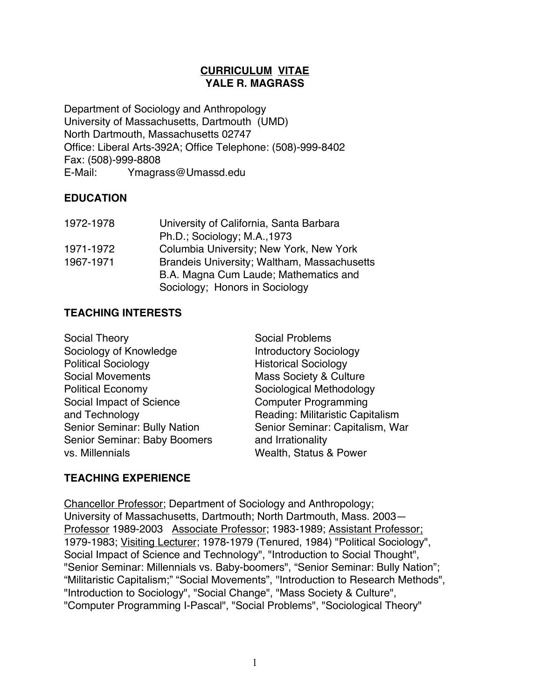### **CURRICULUM VITAE YALE R. MAGRASS**

Department of Sociology and Anthropology University of Massachusetts, Dartmouth (UMD) North Dartmouth, Massachusetts 02747 Office: Liberal Arts-392A; Office Telephone: (508)-999-8402 Fax: (508)-999-8808 E-Mail: Ymagrass@Umassd.edu

### **EDUCATION**

| 1972-1978 | University of California, Santa Barbara     |
|-----------|---------------------------------------------|
|           | Ph.D.; Sociology; M.A., 1973                |
| 1971-1972 | Columbia University; New York, New York     |
| 1967-1971 | Brandeis University; Waltham, Massachusetts |
|           | B.A. Magna Cum Laude; Mathematics and       |
|           | Sociology; Honors in Sociology              |

### **TEACHING INTERESTS**

| Social Theory                | <b>Social Problems</b>            |
|------------------------------|-----------------------------------|
| Sociology of Knowledge       | <b>Introductory Sociology</b>     |
| <b>Political Sociology</b>   | <b>Historical Sociology</b>       |
| <b>Social Movements</b>      | <b>Mass Society &amp; Culture</b> |
| <b>Political Economy</b>     | Sociological Methodology          |
| Social Impact of Science     | <b>Computer Programming</b>       |
| and Technology               | Reading: Militaristic Capitalism  |
| Senior Seminar: Bully Nation | Senior Seminar: Capitalism, War   |
| Senior Seminar: Baby Boomers | and Irrationality                 |
| vs. Millennials              | Wealth, Status & Power            |

## **TEACHING EXPERIENCE**

Chancellor Professor; Department of Sociology and Anthropology; University of Massachusetts, Dartmouth; North Dartmouth, Mass. 2003— Professor 1989-2003 Associate Professor; 1983-1989; Assistant Professor; 1979-1983; Visiting Lecturer; 1978-1979 (Tenured, 1984) "Political Sociology", Social Impact of Science and Technology", "Introduction to Social Thought", "Senior Seminar: Millennials vs. Baby-boomers", "Senior Seminar: Bully Nation"; "Militaristic Capitalism;" "Social Movements", ''Introduction to Research Methods", "Introduction to Sociology", "Social Change", "Mass Society & Culture", "Computer Programming I-Pascal", "Social Problems", "Sociological Theory"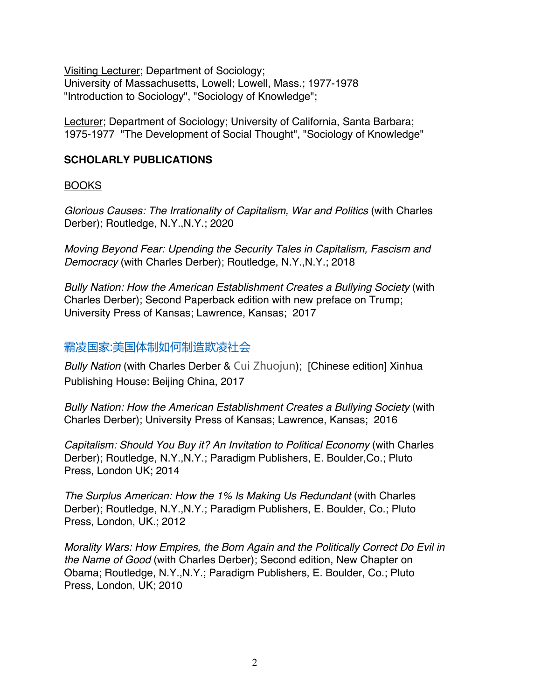Visiting Lecturer; Department of Sociology; University of Massachusetts, Lowell; Lowell, Mass.; 1977-1978 "Introduction to Sociology", "Sociology of Knowledge";

Lecturer; Department of Sociology; University of California, Santa Barbara; 1975-1977 "The Development of Social Thought", "Sociology of Knowledge"

## **SCHOLARLY PUBLICATIONS**

BOOKS

*Glorious Causes: The Irrationality of Capitalism, War and Politics* (with Charles Derber); Routledge, N.Y.,N.Y.; 2020

*Moving Beyond Fear: Upending the Security Tales in Capitalism, Fascism and Democracy* (with Charles Derber); Routledge, N.Y.,N.Y.; 2018

*Bully Nation: How the American Establishment Creates a Bullying Society* (with Charles Derber); Second Paperback edition with new preface on Trump; University Press of Kansas; Lawrence, Kansas; 2017

# 霸凌国家:美国体制如何制造欺凌社会

*Bully Nation* (with Charles Derber & Cui Zhuojun); [Chinese edition] Xinhua Publishing House: Beijing China, 2017

*Bully Nation: How the American Establishment Creates a Bullying Society* (with Charles Derber); University Press of Kansas; Lawrence, Kansas; 2016

*Capitalism: Should You Buy it? An Invitation to Political Economy* (with Charles Derber); Routledge, N.Y.,N.Y.; Paradigm Publishers, E. Boulder,Co.; Pluto Press, London UK; 2014

*The Surplus American: How the 1% Is Making Us Redundant* (with Charles Derber); Routledge, N.Y.,N.Y.; Paradigm Publishers, E. Boulder, Co.; Pluto Press, London, UK.; 2012

*Morality Wars: How Empires, the Born Again and the Politically Correct Do Evil in the Name of Good* (with Charles Derber); Second edition, New Chapter on Obama; Routledge, N.Y.,N.Y.; Paradigm Publishers, E. Boulder, Co.; Pluto Press, London, UK; 2010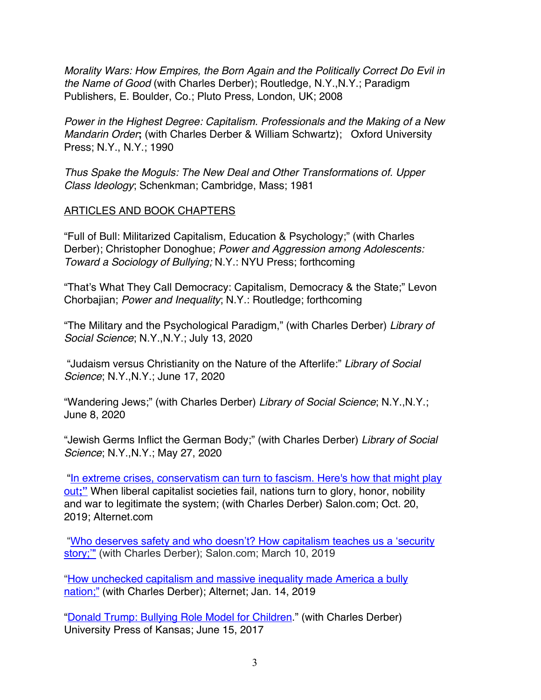*Morality Wars: How Empires, the Born Again and the Politically Correct Do Evil in the Name of Good* (with Charles Derber); Routledge, N.Y.,N.Y.; Paradigm Publishers, E. Boulder, Co.; Pluto Press, London, UK; 2008

*Power in the Highest Degree: Capitalism. Professionals and the Making of a New Mandarin Order***;** (with Charles Derber & William Schwartz); Oxford University Press; N.Y., N.Y.; 1990

*Thus Spake the Moguls: The New Deal and Other Transformations of. Upper Class Ideology*; Schenkman; Cambridge, Mass; 1981

## ARTICLES AND BOOK CHAPTERS

"Full of Bull: Militarized Capitalism, Education & Psychology;" (with Charles Derber); Christopher Donoghue; *Power and Aggression among Adolescents: Toward a Sociology of Bullying;* N.Y.: NYU Press; forthcoming

"That's What They Call Democracy: Capitalism, Democracy & the State;" Levon Chorbajian; *Power and Inequality*; N.Y.: Routledge; forthcoming

"The Military and the Psychological Paradigm," (with Charles Derber) *Library of Social Science*; N.Y.,N.Y.; July 13, 2020

"Judaism versus Christianity on the Nature of the Afterlife:" *Library of Social Science*; N.Y.,N.Y.; June 17, 2020

"Wandering Jews;" (with Charles Derber) *Library of Social Science*; N.Y.,N.Y.; June 8, 2020

"Jewish Germs Inflict the German Body;" (with Charles Derber) *Library of Social Science*; N.Y.,N.Y.; May 27, 2020

"In extreme crises, conservatism can turn to fascism. Here's how that might play out;" When liberal capitalist societies fail, nations turn to glory, honor, nobility and war to legitimate the system; (with Charles Derber) Salon.com; Oct. 20, 2019; Alternet.com

"Who deserves safety and who doesn't? How capitalism teaches us a 'security story;'" (with Charles Derber); Salon.com; March 10, 2019

"How unchecked capitalism and massive inequality made America a bully nation;" (with Charles Derber); Alternet; Jan. 14, 2019

"Donald Trump: Bullying Role Model for Children." (with Charles Derber) University Press of Kansas; June 15, 2017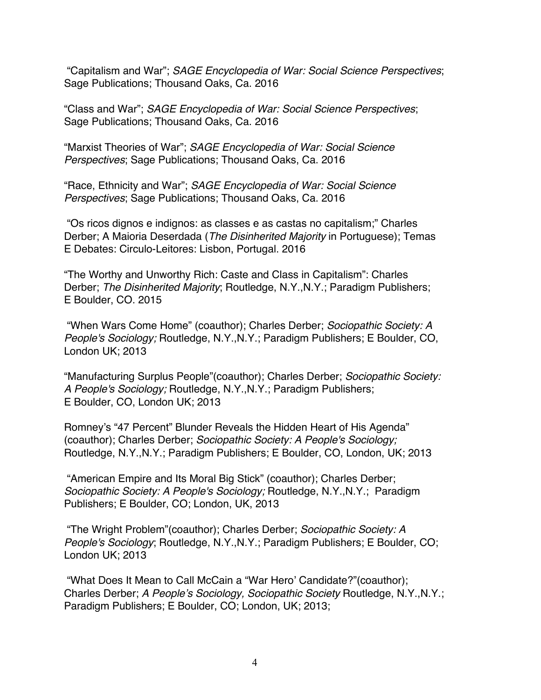"Capitalism and War"; *SAGE Encyclopedia of War: Social Science Perspectives*; Sage Publications; Thousand Oaks, Ca. 2016

"Class and War"; *SAGE Encyclopedia of War: Social Science Perspectives*; Sage Publications; Thousand Oaks, Ca. 2016

"Marxist Theories of War"; *SAGE Encyclopedia of War: Social Science Perspectives*; Sage Publications; Thousand Oaks, Ca. 2016

"Race, Ethnicity and War"; *SAGE Encyclopedia of War: Social Science Perspectives*; Sage Publications; Thousand Oaks, Ca. 2016

"Os ricos dignos e indignos: as classes e as castas no capitalism;" Charles Derber; A Maioria Deserdada (*The Disinherited Majority* in Portuguese); Temas E Debates: Circulo-Leitores: Lisbon, Portugal. 2016

"The Worthy and Unworthy Rich: Caste and Class in Capitalism": Charles Derber; *The Disinherited Majority*; Routledge, N.Y.,N.Y.; Paradigm Publishers; E Boulder, CO. 2015

"When Wars Come Home" (coauthor); Charles Derber; *Sociopathic Society: A People's Sociology;* Routledge, N.Y.,N.Y.; Paradigm Publishers; E Boulder, CO, London UK; 2013

"Manufacturing Surplus People"(coauthor); Charles Derber; *Sociopathic Society: A People's Sociology;* Routledge, N.Y.,N.Y.; Paradigm Publishers; E Boulder, CO, London UK; 2013

Romney's "47 Percent" Blunder Reveals the Hidden Heart of His Agenda" (coauthor); Charles Derber; *Sociopathic Society: A People's Sociology;* Routledge, N.Y.,N.Y.; Paradigm Publishers; E Boulder, CO, London, UK; 2013

"American Empire and Its Moral Big Stick" (coauthor); Charles Derber; *Sociopathic Society: A People's Sociology;* Routledge, N.Y.,N.Y.; Paradigm Publishers; E Boulder, CO; London, UK, 2013

"The Wright Problem"(coauthor); Charles Derber; *Sociopathic Society: A People's Sociology*; Routledge, N.Y.,N.Y.; Paradigm Publishers; E Boulder, CO; London UK; 2013

"What Does It Mean to Call McCain a "War Hero' Candidate?"(coauthor); Charles Derber; *A People's Sociology, Sociopathic Society* Routledge, N.Y.,N.Y.; Paradigm Publishers; E Boulder, CO; London, UK; 2013;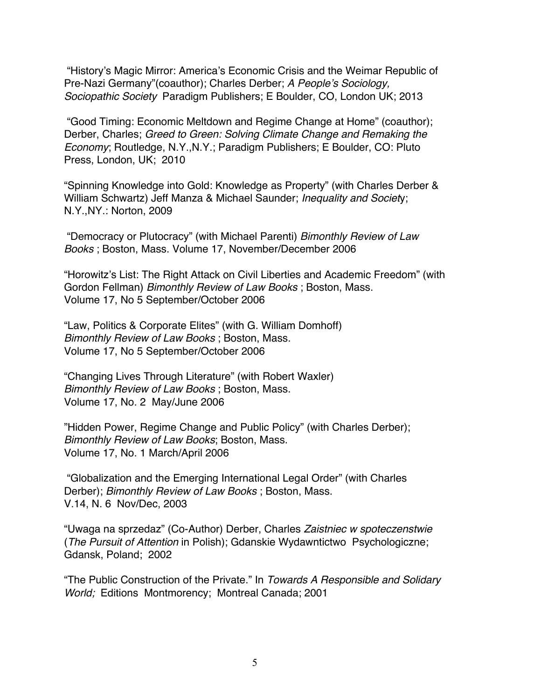"History's Magic Mirror: America's Economic Crisis and the Weimar Republic of Pre-Nazi Germany"(coauthor); Charles Derber; *A People's Sociology, Sociopathic Society* Paradigm Publishers; E Boulder, CO, London UK; 2013

"Good Timing: Economic Meltdown and Regime Change at Home" (coauthor); Derber, Charles; *Greed to Green: Solving Climate Change and Remaking the Economy*; Routledge, N.Y.,N.Y.; Paradigm Publishers; E Boulder, CO: Pluto Press, London, UK; 2010

"Spinning Knowledge into Gold: Knowledge as Property" (with Charles Derber & William Schwartz) Jeff Manza & Michael Saunder; *Inequality and Societ*y; N.Y.,NY.: Norton, 2009

"Democracy or Plutocracy" (with Michael Parenti) *Bimonthly Review of Law Books* ; Boston, Mass. Volume 17, November/December 2006

"Horowitz's List: The Right Attack on Civil Liberties and Academic Freedom" (with Gordon Fellman) *Bimonthly Review of Law Books* ; Boston, Mass. Volume 17, No 5 September/October 2006

"Law, Politics & Corporate Elites" (with G. William Domhoff) *Bimonthly Review of Law Books* ; Boston, Mass. Volume 17, No 5 September/October 2006

"Changing Lives Through Literature" (with Robert Waxler) *Bimonthly Review of Law Books* ; Boston, Mass. Volume 17, No. 2 May/June 2006

"Hidden Power, Regime Change and Public Policy" (with Charles Derber); *Bimonthly Review of Law Books*; Boston, Mass. Volume 17, No. 1 March/April 2006

"Globalization and the Emerging International Legal Order" (with Charles Derber); *Bimonthly Review of Law Books* ; Boston, Mass. V.14, N. 6 Nov/Dec, 2003

"Uwaga na sprzedaz" (Co-Author) Derber, Charles *Zaistniec w spoteczenstwie*  (*The Pursuit of Attention* in Polish); Gdanskie Wydawntictwo Psychologiczne; Gdansk, Poland; 2002

"The Public Construction of the Private." In *Towards A Responsible and Solidary World;* Editions Montmorency; Montreal Canada; 2001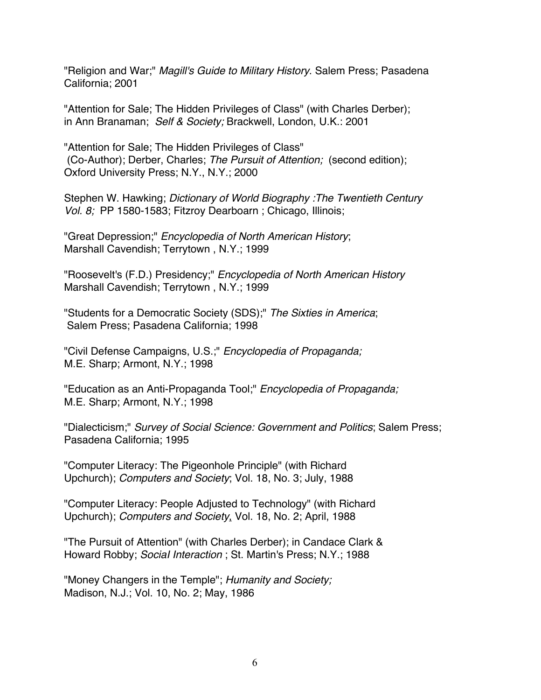"Religion and War;" *Magill's Guide to Military History*. Salem Press; Pasadena California; 2001

"Attention for Sale; The Hidden Privileges of Class" (with Charles Derber); in Ann Branaman; *Self & Society;* Brackwell, London, U.K.: 2001

"Attention for Sale; The Hidden Privileges of Class" (Co-Author); Derber, Charles; *The Pursuit of Attention;* (second edition); Oxford University Press; N.Y., N.Y.; 2000

Stephen W. Hawking; *Dictionary of World Biography :The Twentieth Century Vol. 8;* PP 1580-1583; Fitzroy Dearboarn ; Chicago, Illinois;

"Great Depression;" *Encyclopedia of North American History*; Marshall Cavendish; Terrytown , N.Y.; 1999

"Roosevelt's (F.D.) Presidency;" *Encyclopedia of North American History* Marshall Cavendish; Terrytown , N.Y.; 1999

"Students for a Democratic Society (SDS);" *The Sixties in America*; Salem Press; Pasadena California; 1998

"Civil Defense Campaigns, U.S.;" *Encyclopedia of Propaganda;* M.E. Sharp; Armont, N.Y.; 1998

"Education as an Anti-Propaganda Tool;" *Encyclopedia of Propaganda;* M.E. Sharp; Armont, N.Y.; 1998

"Dialecticism;" *Survey of Social Science: Government and Politics*; Salem Press; Pasadena California; 1995

"Computer Literacy: The Pigeonhole Principle" (with Richard Upchurch); *Computers and Society*; Vol. 18, No. 3; July, 1988

"Computer Literacy: People Adjusted to Technology" (with Richard Upchurch); *Computers and Society*, Vol. 18, No. 2; April, 1988

"The Pursuit of Attention" (with Charles Derber); in Candace Clark & Howard Robby; *SociaI Interaction* ; St. Martin's Press; N.Y.; 1988

"Money Changers in the Temple"; *Humanity and Society;* Madison, N.J.; Vol. 10, No. 2; May, 1986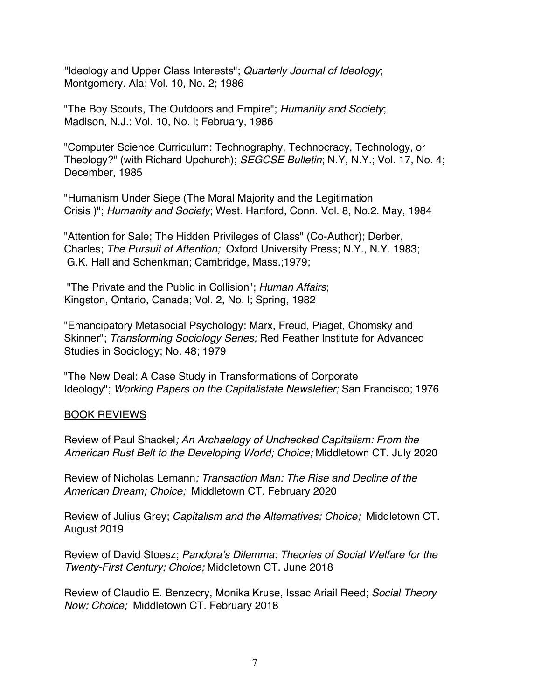''Ideology and Upper Class Interests"; *Quarterly Journal of IdeoIogy*; Montgomery. Ala; Vol. 10, No. 2; 1986

"The Boy Scouts, The Outdoors and Empire"; *Humanity and Society*; Madison, N.J.; Vol. 10, No. l; February, 1986

"Computer Science Curriculum: Technography, Technocracy, Technology, or Theology?" (with Richard Upchurch); *SEGCSE Bulletin*; N.Y, N.Y.; Vol. 17, No. 4; December, 1985

"Humanism Under Siege (The Moral Majority and the Legitimation Crisis )"; *Humanity and Society*; West. Hartford, Conn. Vol. 8, No.2. May, 1984

"Attention for Sale; The Hidden Privileges of Class" (Co-Author); Derber, Charles; *The Pursuit of Attention;* Oxford University Press; N.Y., N.Y. 1983; G.K. Hall and Schenkman; Cambridge, Mass.;1979;

"The Private and the Public in Collision"; *Human Affairs*; Kingston, Ontario, Canada; Vol. 2, No. l; Spring, 1982

"Emancipatory Metasocial Psychology: Marx, Freud, Piaget, Chomsky and Skinner"; *Transforming Sociology Series;* Red Feather Institute for Advanced Studies in Sociology; No. 48; 1979

"The New Deal: A Case Study in Transformations of Corporate Ideology"; *Working Papers on the Capitalistate Newsletter;* San Francisco; 1976

#### BOOK REVIEWS

Review of Paul Shackel*; An Archaelogy of Unchecked Capitalism: From the American Rust Belt to the Developing World; Choice;* Middletown CT. July 2020

Review of Nicholas Lemann*; Transaction Man: The Rise and Decline of the American Dream; Choice;* Middletown CT. February 2020

Review of Julius Grey; *Capitalism and the Alternatives; Choice;* Middletown CT. August 2019

Review of David Stoesz; *Pandora's Dilemma: Theories of Social Welfare for the Twenty-First Century; Choice;* Middletown CT. June 2018

Review of Claudio E. Benzecry, Monika Kruse, Issac Ariail Reed; *Social Theory Now; Choice;* Middletown CT. February 2018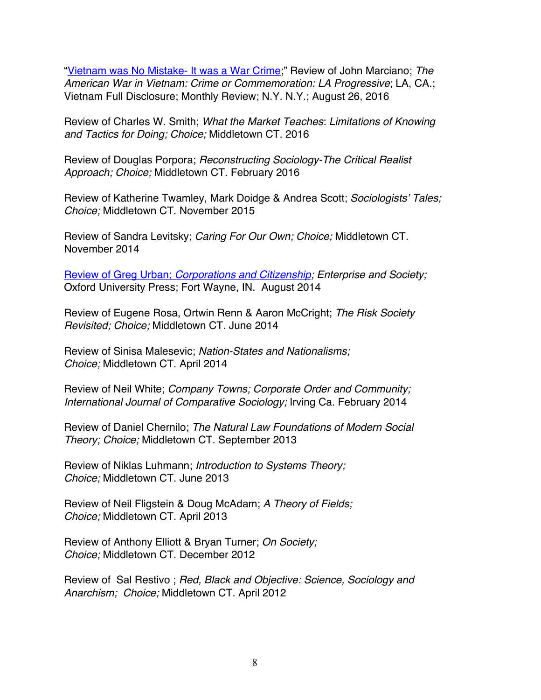"Vietnam was No Mistake- It was a War Crime;" Review of John Marciano; *The American War in Vietnam: Crime or Commemoration: LA Progressive*; LA, CA.; Vietnam Full Disclosure; Monthly Review; N.Y. N.Y.; August 26, 2016

Review of Charles W. Smith; *What the Market Teaches*: *Limitations of Knowing and Tactics for Doing; Choice;* Middletown CT. 2016

Review of Douglas Porpora; *Reconstructing Sociology-The Critical Realist Approach; Choice;* Middletown CT. February 2016

Review of Katherine Twamley, Mark Doidge & Andrea Scott; *Sociologists' Tales; Choice;* Middletown CT. November 2015

Review of Sandra Levitsky; *Caring For Our Own; Choice;* Middletown CT. November 2014

Review of Greg Urban; *Corporations and Citizenship; Enterprise and Society;* Oxford University Press; Fort Wayne, IN. August 2014

Review of Eugene Rosa, Ortwin Renn & Aaron McCright; *The Risk Society Revisited; Choice;* Middletown CT. June 2014

Review of Sinisa Malesevic; *Nation-States and Nationalisms; Choice;* Middletown CT. April 2014

Review of Neil White; *Company Towns; Corporate Order and Community; International Journal of Comparative Sociology;* Irving Ca. February 2014

Review of Daniel Chernilo; *The Natural Law Foundations of Modern Social Theory; Choice;* Middletown CT. September 2013

Review of Niklas Luhmann; *Introduction to Systems Theory; Choice;* Middletown CT. June 2013

Review of Neil Fligstein & Doug McAdam; *A Theory of Fields; Choice;* Middletown CT. April 2013

Review of Anthony Elliott & Bryan Turner; *On Society; Choice;* Middletown CT. December 2012

Review of Sal Restivo ; *Red, Black and Objective: Science, Sociology and Anarchism; Choice;* Middletown CT. April 2012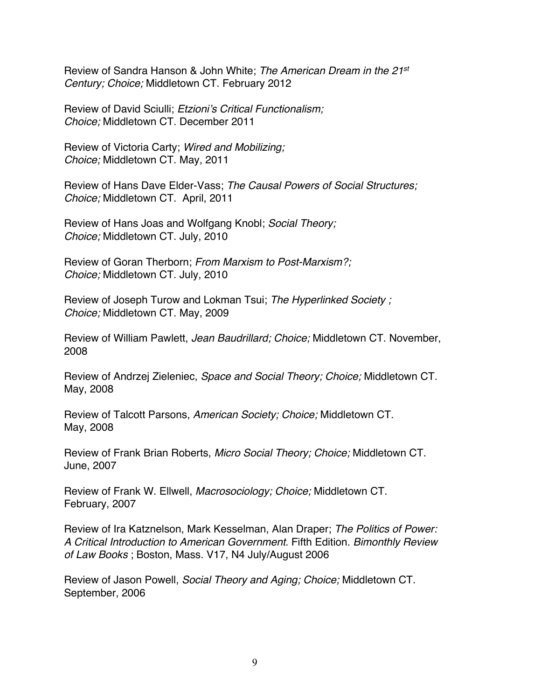Review of Sandra Hanson & John White; *The American Dream in the 21st Century; Choice;* Middletown CT. February 2012

Review of David Sciulli; *Etzioni's Critical Functionalism; Choice;* Middletown CT. December 2011

Review of Victoria Carty; *Wired and Mobilizing; Choice;* Middletown CT. May, 2011

Review of Hans Dave Elder-Vass; *The Causal Powers of Social Structures; Choice;* Middletown CT. April, 2011

Review of Hans Joas and Wolfgang Knobl; *Social Theory; Choice;* Middletown CT. July, 2010

Review of Goran Therborn; *From Marxism to Post-Marxism?; Choice;* Middletown CT. July, 2010

Review of Joseph Turow and Lokman Tsui; *The Hyperlinked Society ; Choice;* Middletown CT. May, 2009

Review of William Pawlett, *Jean Baudrillard; Choice;* Middletown CT. November, 2008

Review of Andrzej Zieleniec, *Space and Social Theory; Choice;* Middletown CT. May, 2008

Review of Talcott Parsons, *American Society; Choice;* Middletown CT. May, 2008

Review of Frank Brian Roberts, *Micro Social Theory; Choice;* Middletown CT. June, 2007

Review of Frank W. Ellwell, *Macrosociology; Choice;* Middletown CT. February, 2007

Review of Ira Katznelson, Mark Kesselman, Alan Draper; *The Politics of Power: A Critical Introduction to American Government.* Fifth Edition. *Bimonthly Review of Law Books* ; Boston, Mass. V17, N4 July/August 2006

Review of Jason Powell, *Social Theory and Aging; Choice;* Middletown CT. September, 2006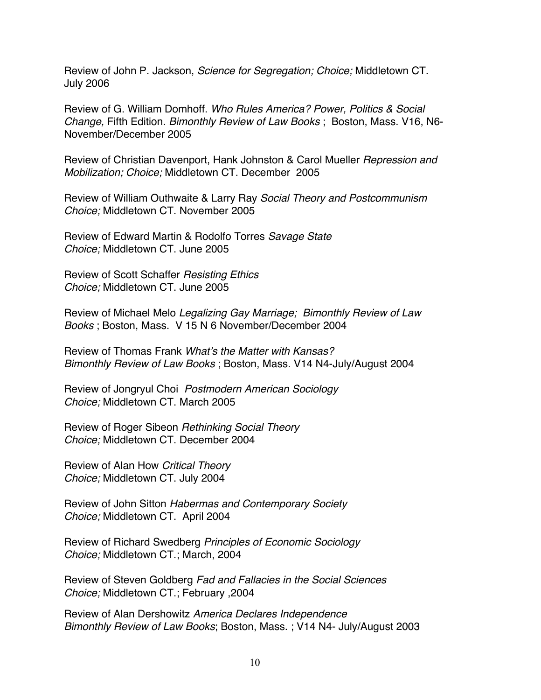Review of John P. Jackson, *Science for Segregation; Choice;* Middletown CT. July 2006

Review of G. William Domhoff. *Who Rules America? Power, Politics & Social Change,* Fifth Edition. *Bimonthly Review of Law Books* ; Boston, Mass. V16, N6- November/December 2005

Review of Christian Davenport, Hank Johnston & Carol Mueller *Repression and Mobilization; Choice;* Middletown CT. December 2005

Review of William Outhwaite & Larry Ray *Social Theory and Postcommunism Choice;* Middletown CT. November 2005

Review of Edward Martin & Rodolfo Torres *Savage State Choice;* Middletown CT. June 2005

Review of Scott Schaffer *Resisting Ethics Choice;* Middletown CT. June 2005

Review of Michael Melo *Legalizing Gay Marriage; Bimonthly Review of Law Books* ; Boston, Mass. V 15 N 6 November/December 2004

Review of Thomas Frank *What's the Matter with Kansas? Bimonthly Review of Law Books* ; Boston, Mass. V14 N4-July/August 2004

Review of Jongryul Choi *Postmodern American Sociology Choice;* Middletown CT. March 2005

Review of Roger Sibeon *Rethinking Social Theory Choice;* Middletown CT. December 2004

Review of Alan How *Critical Theory Choice;* Middletown CT. July 2004

Review of John Sitton *Habermas and Contemporary Society Choice;* Middletown CT. April 2004

Review of Richard Swedberg *Principles of Economic Sociology Choice;* Middletown CT.; March, 2004

Review of Steven Goldberg *Fad and Fallacies in the Social Sciences Choice;* Middletown CT.; February ,2004

Review of Alan Dershowitz *America Declares Independence Bimonthly Review of Law Books*; Boston, Mass. ; V14 N4- July/August 2003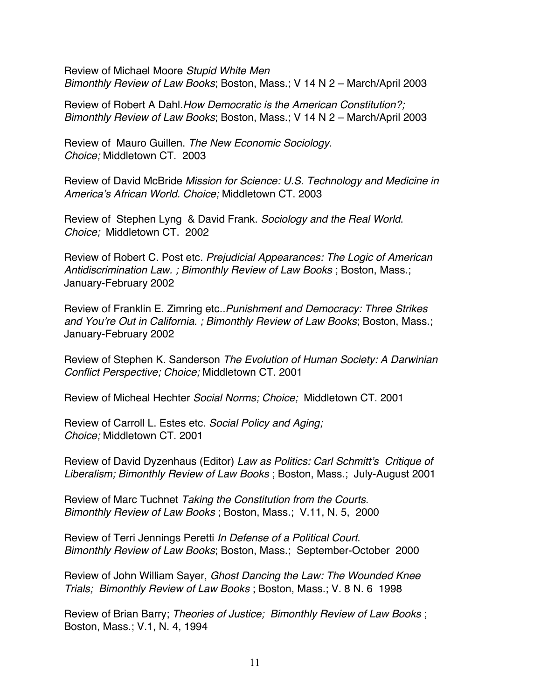Review of Michael Moore *Stupid White Men Bimonthly Review of Law Books*; Boston, Mass.; V 14 N 2 – March/April 2003

Review of Robert A Dahl.*How Democratic is the American Constitution?; Bimonthly Review of Law Books*; Boston, Mass.; V 14 N 2 – March/April 2003

Review of Mauro Guillen. *The New Economic Sociology*. *Choice;* Middletown CT. 2003

Review of David McBride *Mission for Science: U.S. Technology and Medicine in America's African World. Choice;* Middletown CT. 2003

Review of Stephen Lyng & David Frank. *Sociology and the Real World*. *Choice;* Middletown CT. 2002

Review of Robert C. Post etc*. Prejudicial Appearances: The Logic of American Antidiscrimination Law. ; Bimonthly Review of Law Books* ; Boston, Mass.; January-February 2002

Review of Franklin E. Zimring etc*..Punishment and Democracy: Three Strikes and You're Out in California. ; Bimonthly Review of Law Books*; Boston, Mass.; January-February 2002

Review of Stephen K. Sanderson *The Evolution of Human Society: A Darwinian Conflict Perspective; Choice;* Middletown CT. 2001

Review of Micheal Hechter *Social Norms; Choice;* Middletown CT. 2001

Review of Carroll L. Estes etc. *Social Policy and Aging; Choice;* Middletown CT. 2001

Review of David Dyzenhaus (Editor) *Law as Politics: Carl Schmitt's Critique of Liberalism; Bimonthly Review of Law Books* ; Boston, Mass.; July-August 2001

Review of Marc Tuchnet *Taking the Constitution from the Courts*. *Bimonthly Review of Law Books* ; Boston, Mass.; V.11, N. 5, 2000

Review of Terri Jennings Peretti *In Defense of a Political Court*. *Bimonthly Review of Law Books*; Boston, Mass.; September-October 2000

Review of John William Sayer, *Ghost Dancing the Law: The Wounded Knee Trials; Bimonthly Review of Law Books* ; Boston, Mass.; V. 8 N. 6 1998

Review of Brian Barry; *Theories of Justice; Bimonthly Review of Law Books* ; Boston, Mass.; V.1, N. 4, 1994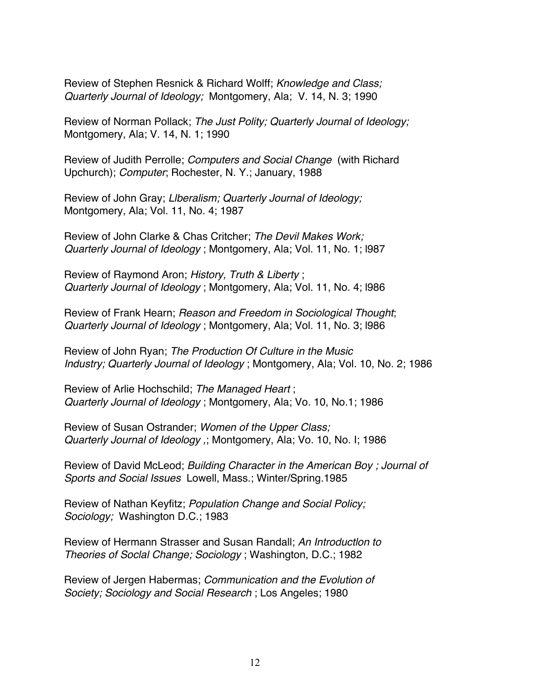Review of Stephen Resnick & Richard Wolff; *Knowledge and Class; Quarterly Journal of Ideology;* Montgomery, Ala; V. 14, N. 3; 1990

Review of Norman Pollack; *The Just Polity; Quarterly Journal of Ideology;*  Montgomery, Ala; V. 14, N. 1; 1990

Review of Judith Perrolle; *Computers and Social Change* (with Richard Upchurch); *Computer*; Rochester, N. Y.; January, 1988

Review of John Gray; *Llberalism; Quarterly Journal of Ideology;* Montgomery, Ala; Vol. 11, No. 4; 1987

Review of John Clarke & Chas Critcher; *The Devil Makes Work; Quarterly Journal of Ideology* ; Montgomery, Ala; Vol. 11, No. 1; l987

Review of Raymond Aron; *History, Truth & Liberty* ; *Quarterly Journal of Ideology* ; Montgomery, Ala; Vol. 11, No. 4; l986

Review of Frank Hearn; *Reason and Freedom in Sociological Thought*; *Quarterly Journal of Ideology* ; Montgomery, Ala; Vol. 11, No. 3; l986

Review of John Ryan; *The Production Of Culture in the Music Industry; Quarterly Journal of Ideology* ; Montgomery, Ala; Vol. 10, No. 2; 1986

Review of Arlie Hochschild; *The Managed Heart* ; *Quarterly Journal of Ideology* ; Montgomery, Ala; Vo. 10, No.1; 1986

Review of Susan Ostrander; *Women of the Upper Class; Quarterly Journal of Ideology ,*; Montgomery, Ala; Vo. 10, No. I; 1986

Review of David McLeod; *Building Character in the American Boy ; Journal of Sports and Social Issues* Lowell, Mass.; Winter/Spring.1985

Review of Nathan Keyfitz; *Population Change and Social Policy; Sociology;* Washington D.C.; 1983

Review of Hermann Strasser and Susan Randall; *An Introductlon to Theories of Soclal Change; Sociology* ; Washington, D.C.; 1982

Review of Jergen Habermas; *Communication and the Evolution of Society; Sociology and Social Research* ; Los Angeles; 1980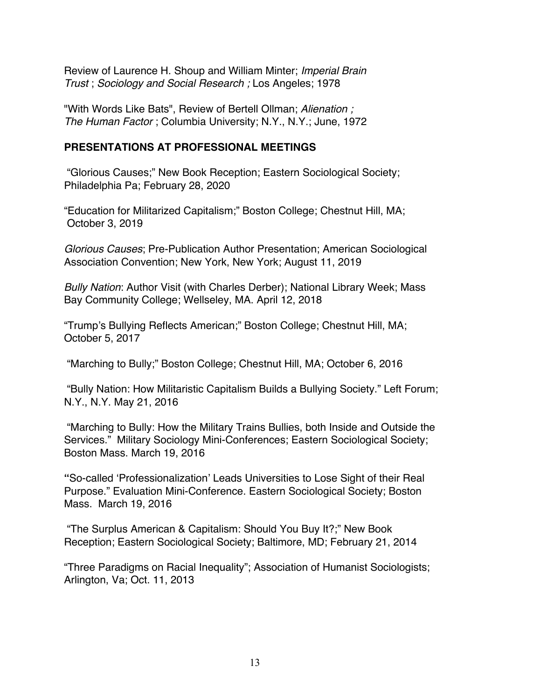Review of Laurence H. Shoup and William Minter; *Imperial Brain Trust* ; *Sociology and Social Research ;* Los Angeles; 1978

"With Words Like Bats", Review of Bertell Ollman; *Alienation ; The Human Factor* ; Columbia University; N.Y., N.Y.; June, 1972

### **PRESENTATIONS AT PROFESSIONAL MEETINGS**

"Glorious Causes;" New Book Reception; Eastern Sociological Society; Philadelphia Pa; February 28, 2020

"Education for Militarized Capitalism;" Boston College; Chestnut Hill, MA; October 3, 2019

*Glorious Causes*; Pre-Publication Author Presentation; American Sociological Association Convention; New York, New York; August 11, 2019

*Bully Nation*: Author Visit (with Charles Derber); National Library Week; Mass Bay Community College; Wellseley, MA. April 12, 2018

"Trump's Bullying Reflects American;" Boston College; Chestnut Hill, MA; October 5, 2017

"Marching to Bully;" Boston College; Chestnut Hill, MA; October 6, 2016

"Bully Nation: How Militaristic Capitalism Builds a Bullying Society." Left Forum; N.Y., N.Y. May 21, 2016

"Marching to Bully: How the Military Trains Bullies, both Inside and Outside the Services." Military Sociology Mini-Conferences; Eastern Sociological Society; Boston Mass. March 19, 2016

**"**So-called 'Professionalization' Leads Universities to Lose Sight of their Real Purpose." Evaluation Mini-Conference. Eastern Sociological Society; Boston Mass. March 19, 2016

"The Surplus American & Capitalism: Should You Buy It?;" New Book Reception; Eastern Sociological Society; Baltimore, MD; February 21, 2014

"Three Paradigms on Racial Inequality"; Association of Humanist Sociologists; Arlington, Va; Oct. 11, 2013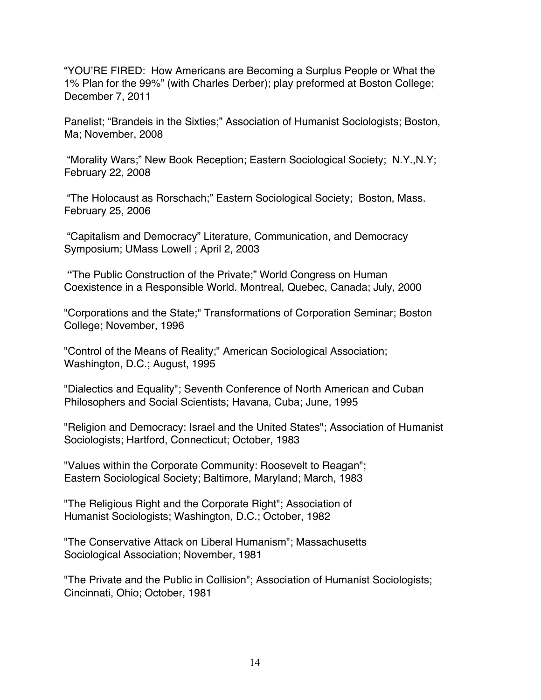"YOU'RE FIRED: How Americans are Becoming a Surplus People or What the 1% Plan for the 99%" (with Charles Derber); play preformed at Boston College; December 7, 2011

Panelist; "Brandeis in the Sixties;" Association of Humanist Sociologists; Boston, Ma; November, 2008

"Morality Wars;" New Book Reception; Eastern Sociological Society; N.Y.,N.Y; February 22, 2008

"The Holocaust as Rorschach;" Eastern Sociological Society; Boston, Mass. February 25, 2006

"Capitalism and Democracy" Literature, Communication, and Democracy Symposium; UMass Lowell ; April 2, 2003

**"**The Public Construction of the Private;" World Congress on Human Coexistence in a Responsible World. Montreal, Quebec, Canada; July, 2000

"Corporations and the State;" Transformations of Corporation Seminar; Boston College; November, 1996

"Control of the Means of Reality;" American Sociological Association; Washington, D.C.; August, 1995

"Dialectics and Equality"; Seventh Conference of North American and Cuban Philosophers and Social Scientists; Havana, Cuba; June, 1995

"Religion and Democracy: Israel and the United States"; Association of Humanist Sociologists; Hartford, Connecticut; October, 1983

"Values within the Corporate Community: Roosevelt to Reagan"; Eastern Sociological Society; Baltimore, Maryland; March, 1983

"The Religious Right and the Corporate Right"; Association of Humanist Sociologists; Washington, D.C.; October, 1982

"The Conservative Attack on Liberal Humanism"; Massachusetts Sociological Association; November, 1981

"The Private and the Public in Collision"; Association of Humanist Sociologists; Cincinnati, Ohio; October, 1981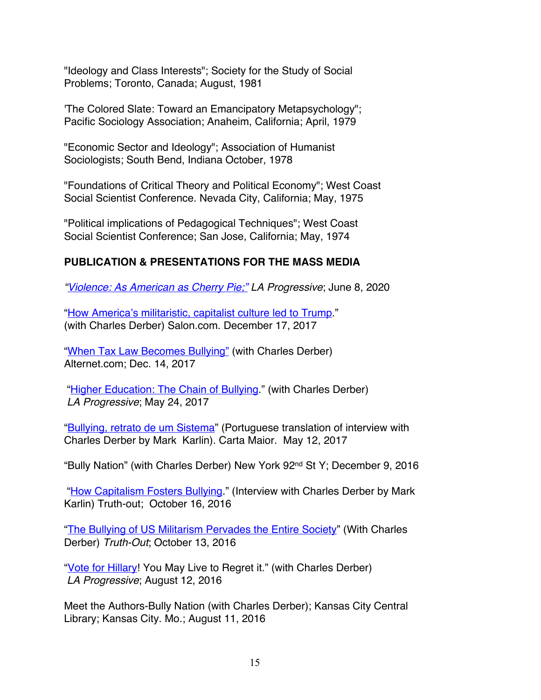"Ideology and Class Interests"; Society for the Study of Social Problems; Toronto, Canada; August, 1981

'The Colored Slate: Toward an Emancipatory Metapsychology"; Pacific Sociology Association; Anaheim, California; April, 1979

"Economic Sector and Ideology"; Association of Humanist Sociologists; South Bend, Indiana October, 1978

"Foundations of Critical Theory and Political Economy"; West Coast Social Scientist Conference. Nevada City, California; May, 1975

"Political implications of Pedagogical Techniques"; West Coast Social Scientist Conference; San Jose, California; May, 1974

# **PUBLICATION & PRESENTATIONS FOR THE MASS MEDIA**

*"Violence: As American as Cherry Pie;" LA Progressive*; June 8, 2020

"How America's militaristic, capitalist culture led to Trump." (with Charles Derber) Salon.com. December 17, 2017

"When Tax Law Becomes Bullying" (with Charles Derber) Alternet.com; Dec. 14, 2017

"Higher Education: The Chain of Bullying." (with Charles Derber) *LA Progressive*; May 24, 2017

"Bullying, retrato de um Sistema" (Portuguese translation of interview with Charles Derber by Mark Karlin). Carta Maior. May 12, 2017

"Bully Nation" (with Charles Derber) New York 92nd St Y; December 9, 2016

"How Capitalism Fosters Bullying." (Interview with Charles Derber by Mark Karlin) Truth-out; October 16, 2016

"The Bullying of US Militarism Pervades the Entire Society" (With Charles Derber) *Truth-Out*; October 13, 2016

"Vote for Hillary! You May Live to Regret it." (with Charles Derber) *LA Progressive*; August 12, 2016

Meet the Authors-Bully Nation (with Charles Derber); Kansas City Central Library; Kansas City. Mo.; August 11, 2016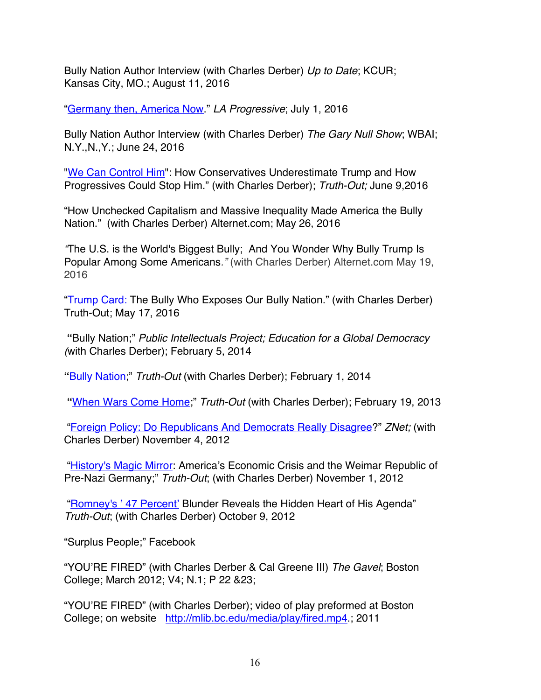Bully Nation Author Interview (with Charles Derber) *Up to Date*; KCUR; Kansas City, MO.; August 11, 2016

"Germany then, America Now." *LA Progressive*; July 1, 2016

Bully Nation Author Interview (with Charles Derber) *The Gary Null Show*; WBAI; N.Y.,N.,Y.; June 24, 2016

"We Can Control Him": How Conservatives Underestimate Trump and How Progressives Could Stop Him." (with Charles Derber); *Truth-Out;* June 9,2016

"How Unchecked Capitalism and Massive Inequality Made America the Bully Nation." (with Charles Derber) Alternet.com; May 26, 2016

*"*The U.S. is the World's Biggest Bully; And You Wonder Why Bully Trump Is Popular Among Some Americans*."* (with Charles Derber) Alternet.com May 19, 2016

"Trump Card: The Bully Who Exposes Our Bully Nation." (with Charles Derber) Truth-Out; May 17, 2016

**"**Bully Nation;" *Public Intellectuals Project; Education for a Global Democracy (*with Charles Derber); February 5, 2014

**"**Bully Nation;" *Truth-Out* (with Charles Derber); February 1, 2014

**"**When Wars Come Home;" *Truth-Out* (with Charles Derber); February 19, 2013

"Foreign Policy: Do Republicans And Democrats Really Disagree?" *ZNet;* (with Charles Derber) November 4, 2012

"History's Magic Mirror: America's Economic Crisis and the Weimar Republic of Pre-Nazi Germany;" *Truth-Out*; (with Charles Derber) November 1, 2012

"Romney's '47 Percent' Blunder Reveals the Hidden Heart of His Agenda" *Truth-Out*; (with Charles Derber) October 9, 2012

"Surplus People;" Facebook

"YOU'RE FIRED" (with Charles Derber & Cal Greene III) *The Gavel*; Boston College; March 2012; V4; N.1; P 22 &23;

"YOU'RE FIRED" (with Charles Derber); video of play preformed at Boston College; on website http://mlib.bc.edu/media/play/fired.mp4.; 2011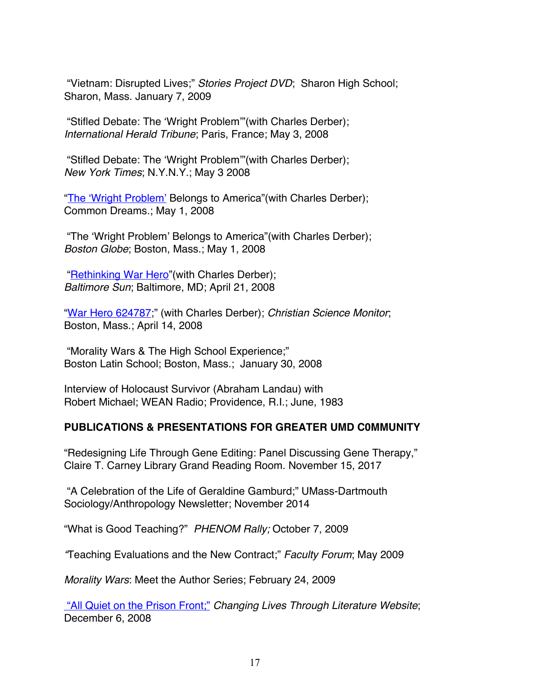"Vietnam: Disrupted Lives;" *Stories Project DVD*; Sharon High School; Sharon, Mass. January 7, 2009

"Stifled Debate: The 'Wright Problem'"(with Charles Derber); *International Herald Tribune*; Paris, France; May 3, 2008

"Stifled Debate: The 'Wright Problem'"(with Charles Derber); *New York Times*; N.Y.N.Y.; May 3 2008

"The 'Wright Problem' Belongs to America" (with Charles Derber); Common Dreams.; May 1, 2008

"The 'Wright Problem' Belongs to America"(with Charles Derber); *Boston Globe*; Boston, Mass.; May 1, 2008

"Rethinking War Hero"(with Charles Derber); *Baltimore Sun*; Baltimore, MD; April 21, 2008

"War Hero 624787;" (with Charles Derber); *Christian Science Monitor*; Boston, Mass.; April 14, 2008

"Morality Wars & The High School Experience;" Boston Latin School; Boston, Mass.; January 30, 2008

Interview of Holocaust Survivor (Abraham Landau) with Robert Michael; WEAN Radio; Providence, R.I.; June, 1983

#### **PUBLICATIONS & PRESENTATIONS FOR GREATER UMD C0MMUNITY**

"Redesigning Life Through Gene Editing: Panel Discussing Gene Therapy," Claire T. Carney Library Grand Reading Room. November 15, 2017

"A Celebration of the Life of Geraldine Gamburd;" UMass-Dartmouth Sociology/Anthropology Newsletter; November 2014

"What is Good Teaching?" *PHENOM Rally;* October 7, 2009

*"*Teaching Evaluations and the New Contract;" *Faculty Forum*; May 2009

*Morality Wars*: Meet the Author Series; February 24, 2009

"All Quiet on the Prison Front;" *Changing Lives Through Literature Website*; December 6, 2008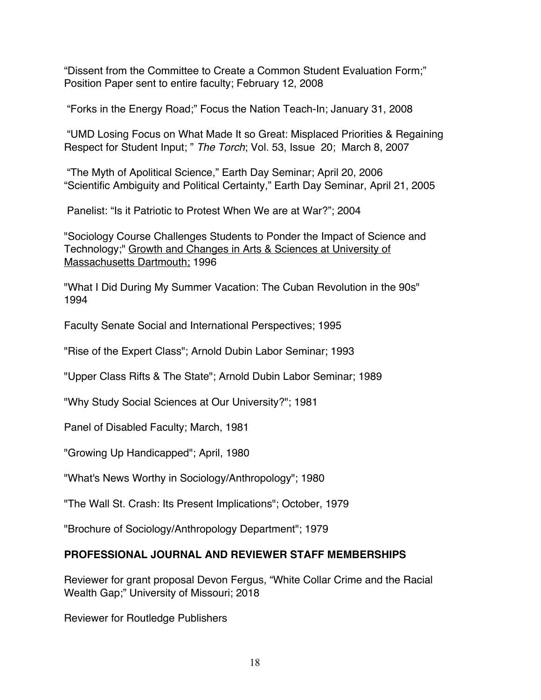"Dissent from the Committee to Create a Common Student Evaluation Form;" Position Paper sent to entire faculty; February 12, 2008

"Forks in the Energy Road;" Focus the Nation Teach-In; January 31, 2008

"UMD Losing Focus on What Made It so Great: Misplaced Priorities & Regaining Respect for Student Input; " *The Torch*; Vol. 53, Issue 20; March 8, 2007

"The Myth of Apolitical Science," Earth Day Seminar; April 20, 2006 "Scientific Ambiguity and Political Certainty," Earth Day Seminar, April 21, 2005

Panelist: "Is it Patriotic to Protest When We are at War?"; 2004

"Sociology Course Challenges Students to Ponder the Impact of Science and Technology;" Growth and Changes in Arts & Sciences at University of Massachusetts Dartmouth; 1996

"What I Did During My Summer Vacation: The Cuban Revolution in the 90s" 1994

Faculty Senate Social and International Perspectives; 1995

"Rise of the Expert Class"; Arnold Dubin Labor Seminar; 1993

"Upper Class Rifts & The State"; Arnold Dubin Labor Seminar; 1989

"Why Study Social Sciences at Our University?"; 1981

Panel of Disabled Faculty; March, 1981

"Growing Up Handicapped"; April, 1980

"What's News Worthy in Sociology/Anthropology"; 1980

"The Wall St. Crash: Its Present Implications"; October, 1979

"Brochure of Sociology/Anthropology Department"; 1979

## **PROFESSIONAL JOURNAL AND REVIEWER STAFF MEMBERSHIPS**

Reviewer for grant proposal Devon Fergus, "White Collar Crime and the Racial Wealth Gap;" University of Missouri; 2018

Reviewer for Routledge Publishers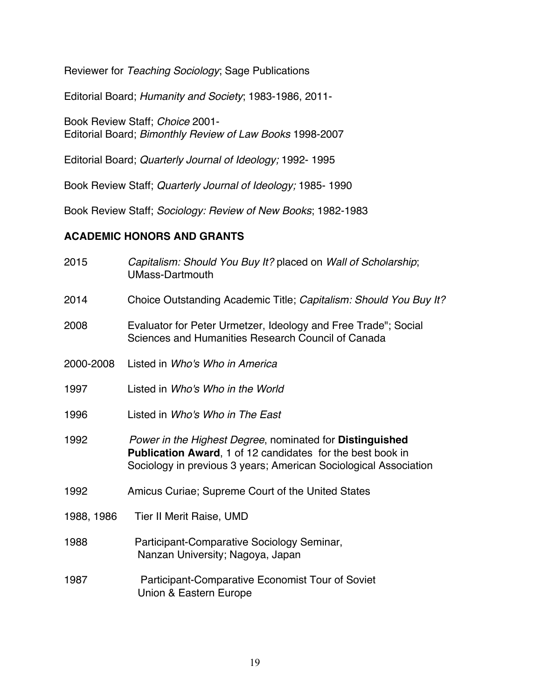Reviewer for *Teaching Sociology*; Sage Publications

Editorial Board; *Humanity and Society*; 1983-1986, 2011-

Book Review Staff; *Choice* 2001- Editorial Board; *Bimonthly Review of Law Books* 1998-2007

Editorial Board; *Quarterly Journal of Ideology;* 1992- 1995

Book Review Staff; *Quarterly Journal of Ideology;* 1985- 1990

Book Review Staff; *Sociology: Review of New Books*; 1982-1983

#### **ACADEMIC HONORS AND GRANTS**

| 2015       | Capitalism: Should You Buy It? placed on Wall of Scholarship;<br><b>UMass-Dartmouth</b>                                                                                                           |
|------------|---------------------------------------------------------------------------------------------------------------------------------------------------------------------------------------------------|
| 2014       | Choice Outstanding Academic Title; Capitalism: Should You Buy It?                                                                                                                                 |
| 2008       | Evaluator for Peter Urmetzer, Ideology and Free Trade"; Social<br>Sciences and Humanities Research Council of Canada                                                                              |
| 2000-2008  | Listed in Who's Who in America                                                                                                                                                                    |
| 1997       | Listed in Who's Who in the World                                                                                                                                                                  |
| 1996       | Listed in Who's Who in The East                                                                                                                                                                   |
| 1992       | Power in the Highest Degree, nominated for Distinguished<br><b>Publication Award, 1 of 12 candidates for the best book in</b><br>Sociology in previous 3 years; American Sociological Association |
| 1992       | Amicus Curiae; Supreme Court of the United States                                                                                                                                                 |
| 1988, 1986 | Tier II Merit Raise, UMD                                                                                                                                                                          |
| 1988       | Participant-Comparative Sociology Seminar,<br>Nanzan University; Nagoya, Japan                                                                                                                    |
| 1987       | Participant-Comparative Economist Tour of Soviet<br>Union & Eastern Europe                                                                                                                        |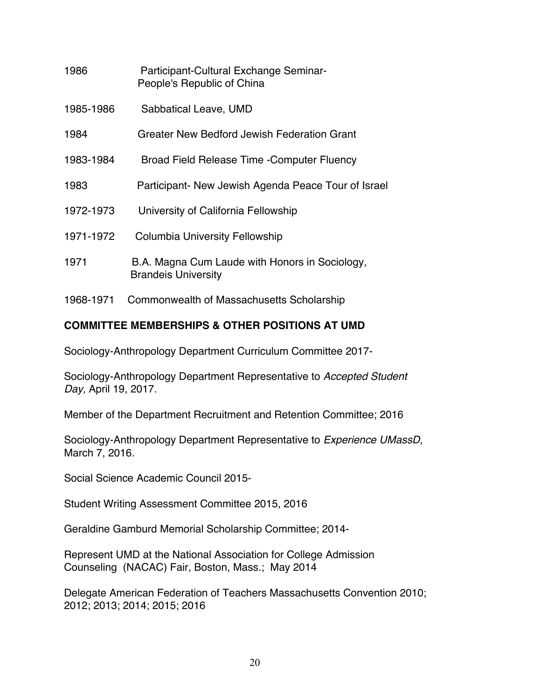| 1986      | Participant-Cultural Exchange Seminar-<br>People's Republic of China         |
|-----------|------------------------------------------------------------------------------|
| 1985-1986 | Sabbatical Leave, UMD                                                        |
| 1984      | Greater New Bedford Jewish Federation Grant                                  |
| 1983-1984 | Broad Field Release Time - Computer Fluency                                  |
| 1983      | Participant- New Jewish Agenda Peace Tour of Israel                          |
| 1972-1973 | University of California Fellowship                                          |
| 1971-1972 | Columbia University Fellowship                                               |
| 1971      | B.A. Magna Cum Laude with Honors in Sociology,<br><b>Brandeis University</b> |

1968-1971 Commonwealth of Massachusetts Scholarship

## **COMMITTEE MEMBERSHIPS & OTHER POSITIONS AT UMD**

Sociology-Anthropology Department Curriculum Committee 2017-

Sociology-Anthropology Department Representative to *Accepted Student Day,* April 19, 2017.

Member of the Department Recruitment and Retention Committee; 2016

Sociology-Anthropology Department Representative to *Experience UMassD*, March 7, 2016.

Social Science Academic Council 2015-

Student Writing Assessment Committee 2015, 2016

Geraldine Gamburd Memorial Scholarship Committee; 2014-

Represent UMD at the National Association for College Admission Counseling (NACAC) Fair, Boston, Mass.; May 2014

Delegate American Federation of Teachers Massachusetts Convention 2010; 2012; 2013; 2014; 2015; 2016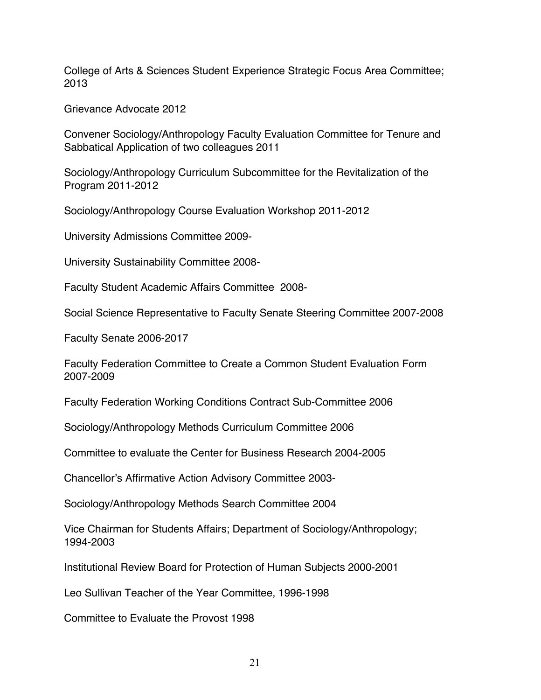College of Arts & Sciences Student Experience Strategic Focus Area Committee; 2013

Grievance Advocate 2012

Convener Sociology/Anthropology Faculty Evaluation Committee for Tenure and Sabbatical Application of two colleagues 2011

Sociology/Anthropology Curriculum Subcommittee for the Revitalization of the Program 2011-2012

Sociology/Anthropology Course Evaluation Workshop 2011-2012

University Admissions Committee 2009-

University Sustainability Committee 2008-

Faculty Student Academic Affairs Committee 2008-

Social Science Representative to Faculty Senate Steering Committee 2007-2008

Faculty Senate 2006-2017

Faculty Federation Committee to Create a Common Student Evaluation Form 2007-2009

Faculty Federation Working Conditions Contract Sub-Committee 2006

Sociology/Anthropology Methods Curriculum Committee 2006

Committee to evaluate the Center for Business Research 2004-2005

Chancellor's Affirmative Action Advisory Committee 2003-

Sociology/Anthropology Methods Search Committee 2004

Vice Chairman for Students Affairs; Department of Sociology/Anthropology; 1994-2003

Institutional Review Board for Protection of Human Subjects 2000-2001

Leo Sullivan Teacher of the Year Committee, 1996-1998

Committee to Evaluate the Provost 1998